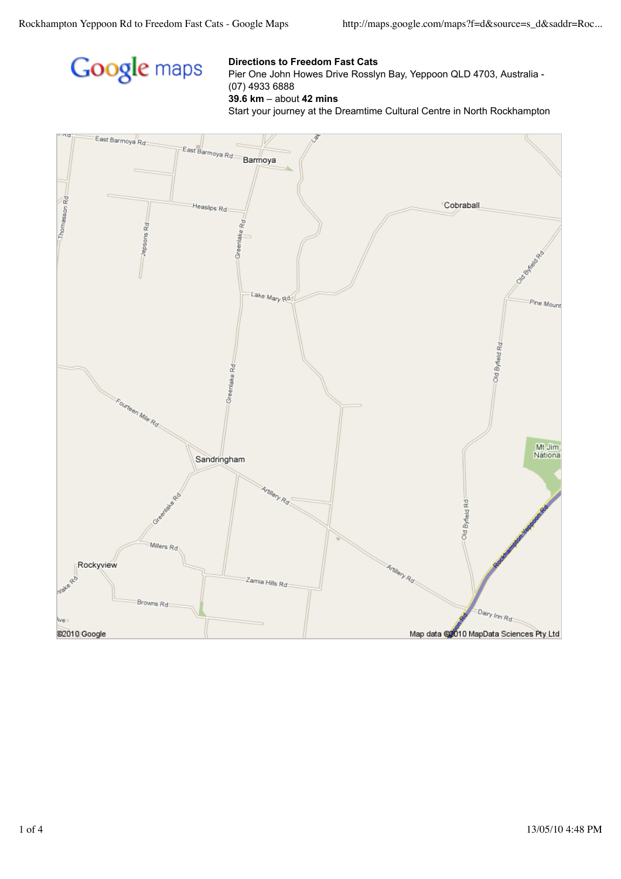

## **Directions to Freedom Fast Cats**

Pier One John Howes Drive Rosslyn Bay, Yeppoon QLD 4703, Australia - (07) 4933 6888

**39.6 km** – about **42 mins**

Start your journey at the Dreamtime Cultural Centre in North Rockhampton

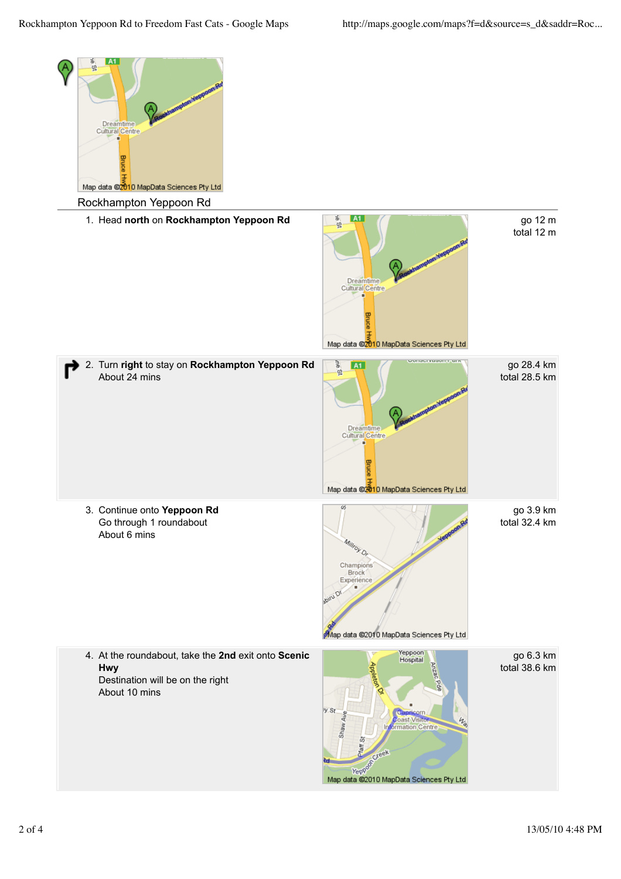

go 3.9 km total 32.4 km

total 12 m

go 28.4 km total 28.5 km

Map data @2010 MapData Sciences Pty Ltd

Yeppoon<br>Hospital 4. At the roundabout, take the **2nd** exit onto **Scenic** TO.  $h$ Centre nation ã Greek **Veppoor** Map data @2010 MapData Sciences Pty Ltd

go 6.3 km total 38.6 km

**Hwy**

About 10 mins

Destination will be on the right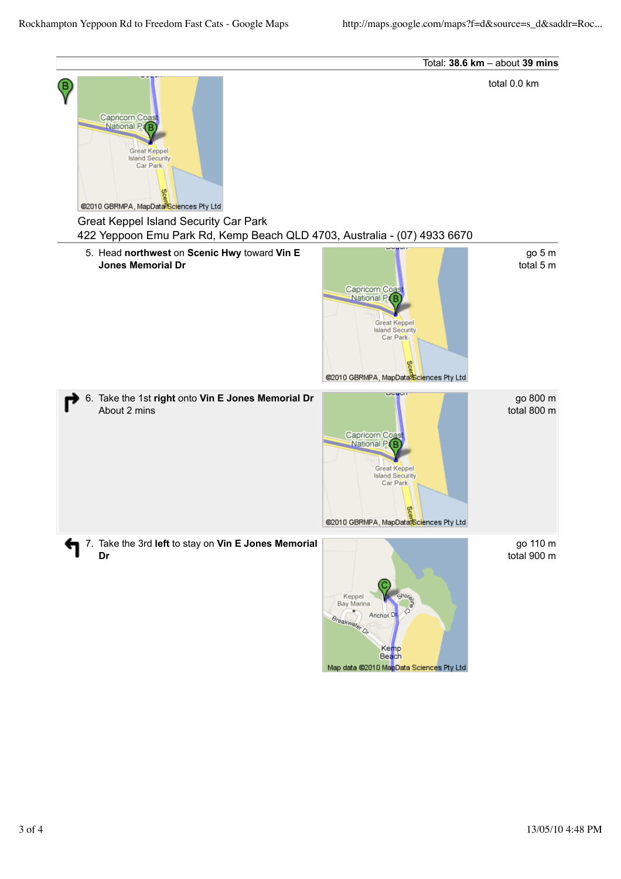